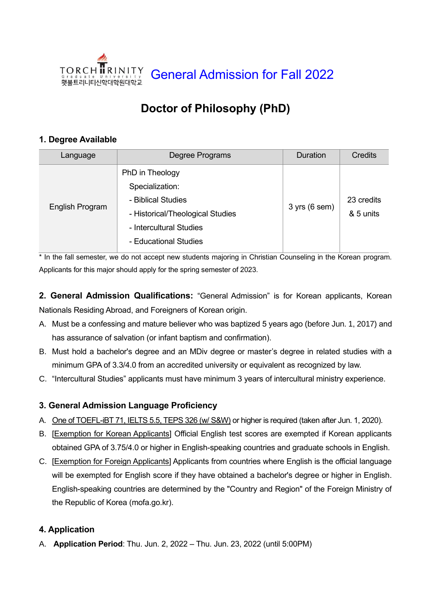

# **Doctor of Philosophy (PhD)**

# **1. Degree Available**

| Language        | Degree Programs                                                                                                                                  | <b>Duration</b> | <b>Credits</b>          |
|-----------------|--------------------------------------------------------------------------------------------------------------------------------------------------|-----------------|-------------------------|
| English Program | PhD in Theology<br>Specialization:<br>- Biblical Studies<br>- Historical/Theological Studies<br>- Intercultural Studies<br>- Educational Studies | $3$ yrs (6 sem) | 23 credits<br>& 5 units |

\* In the fall semester, we do not accept new students majoring in Christian Counseling in the Korean program. Applicants for this major should apply for the spring semester of 2023.

**2. General Admission Qualifications:** "General Admission" is for Korean applicants, Korean Nationals Residing Abroad, and Foreigners of Korean origin.

- A. Must be a confessing and mature believer who was baptized 5 years ago (before Jun. 1, 2017) and has assurance of salvation (or infant baptism and confirmation).
- B. Must hold a bachelor's degree and an MDiv degree or master's degree in related studies with a minimum GPA of 3.3/4.0 from an accredited university or equivalent as recognized by law.
- C. "Intercultural Studies" applicants must have minimum 3 years of intercultural ministry experience.

# **3. General Admission Language Proficiency**

- A. One of TOEFL-iBT 71, IELTS 5.5, TEPS 326 (w/ S&W) or higher is required (taken after Jun. 1, 2020).
- B. [Exemption for Korean Applicants] Official English test scores are exempted if Korean applicants obtained GPA of 3.75/4.0 or higher in English-speaking countries and graduate schools in English.
- C. [Exemption for Foreign Applicants] Applicants from countries where English is the official language will be exempted for English score if they have obtained a bachelor's degree or higher in English. English-speaking countries are determined by the "Country and Region" of the Foreign Ministry of the Republic of Korea (mofa.go.kr).

# **4. Application**

A. **Application Period**: Thu. Jun. 2, 2022 – Thu. Jun. 23, 2022 (until 5:00PM)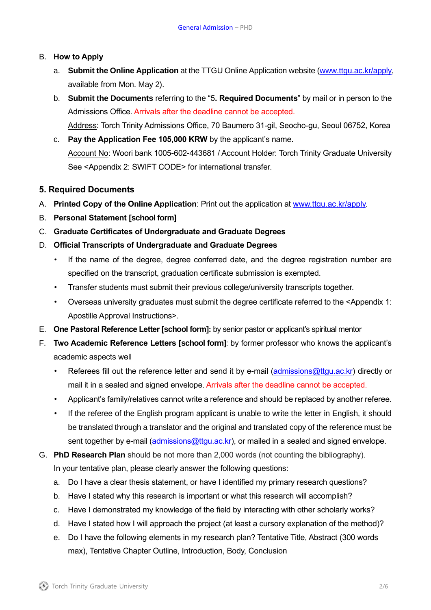#### B. **How to Apply**

- a. **Submit the Online Application** at the TTGU Online Application website [\(www.ttgu.ac.kr/apply,](http://www.ttgu.ac.kr/apply) available from Mon. May 2).
- b. **Submit the Documents** referring to the "5**. Required Documents**" by mail or in person to the Admissions Office. Arrivals after the deadline cannot be accepted. Address: Torch Trinity Admissions Office, 70 Baumero 31-gil, Seocho-gu, Seoul 06752, Korea
- c. **Pay the Application Fee 105,000 KRW** by the applicant's name. Account No: Woori bank 1005-602-443681 / Account Holder: Torch Trinity Graduate University See <Appendix 2: SWIFT CODE> for international transfer.

#### **5. Required Documents**

- A. **Printed Copy of the Online Application**: Print out the application at [www.ttgu.ac.kr/apply.](http://www.ttgu.ac.kr/apply)
- B. **Personal Statement [school form]**
- C. **Graduate Certificates of Undergraduate and Graduate Degrees**
- D. **Official Transcripts of Undergraduate and Graduate Degrees**
	- If the name of the degree, degree conferred date, and the degree registration number are specified on the transcript, graduation certificate submission is exempted.
	- Transfer students must submit their previous college/university transcripts together.
	- Overseas university graduates must submit the degree certificate referred to the <Appendix 1: Apostille Approval Instructions>.
- E. **One Pastoral Reference Letter [school form]:** by senior pastor or applicant's spiritual mentor
- F. **Two Academic Reference Letters [school form]**: by former professor who knows the applicant's academic aspects well
	- Referees fill out the reference letter and send it by e-mail [\(admissions@ttgu.ac.kr\)](mailto:admissions@ttgu.ac.kr) directly or mail it in a sealed and signed envelope. Arrivals after the deadline cannot be accepted.
	- Applicant's family/relatives cannot write a reference and should be replaced by another referee.
	- If the referee of the English program applicant is unable to write the letter in English, it should be translated through a translator and the original and translated copy of the reference must be sent together by e-mail [\(admissions@ttgu.ac.kr\)](mailto:admissions@ttgu.ac.kr), or mailed in a sealed and signed envelope.
- G. **PhD Research Plan** should be not more than 2,000 words (not counting the bibliography). In your tentative plan, please clearly answer the following questions:
	- a. Do I have a clear thesis statement, or have I identified my primary research questions?
	- b. Have I stated why this research is important or what this research will accomplish?
	- c. Have I demonstrated my knowledge of the field by interacting with other scholarly works?
	- d. Have I stated how I will approach the project (at least a cursory explanation of the method)?
	- e. Do I have the following elements in my research plan? Tentative Title, Abstract (300 words max), Tentative Chapter Outline, Introduction, Body, Conclusion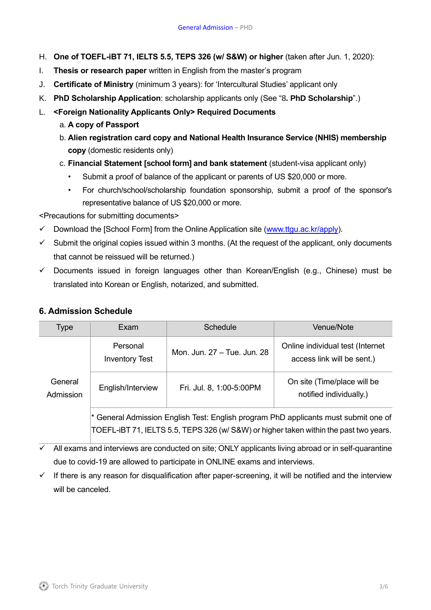- H. **One of TOEFL-iBT 71, IELTS 5.5, TEPS 326 (w/ S&W) or higher** (taken after Jun. 1, 2020):
- I. **Thesis or research paper** written in English from the master's program
- J. **Certificate of Ministry** (minimum 3 years): for 'Intercultural Studies' applicant only
- K. **PhD Scholarship Application**: scholarship applicants only (See "8**. PhD Scholarship**".)
- L. **<Foreign Nationality Applicants Only> Required Documents** 
	- a. **A copy of Passport**
	- b. **Alien registration card copy and National Health Insurance Service (NHIS) membership copy** (domestic residents only)
	- c. **Financial Statement [school form] and bank statement** (student-visa applicant only)
		- Submit a proof of balance of the applicant or parents of US \$20,000 or more.
		- For church/school/scholarship foundation sponsorship, submit a proof of the sponsor's representative balance of US \$20,000 or more.

<Precautions for submitting documents>

- $\checkmark$  Download the [School Form] from the Online Application site [\(www.ttgu.ac.kr/apply\)](http://www.ttgu.ac.kr/apply).
- $\checkmark$  Submit the original copies issued within 3 months. (At the request of the applicant, only documents that cannot be reissued will be returned.)
- ✓ Documents issued in foreign languages other than Korean/English (e.g., Chinese) must be translated into Korean or English, notarized, and submitted.

#### **6. Admission Schedule**

| Type                 | Exam                                                                                | <b>Schedule</b>             | Venue/Note                                                     |
|----------------------|-------------------------------------------------------------------------------------|-----------------------------|----------------------------------------------------------------|
| General<br>Admission | Personal<br><b>Inventory Test</b>                                                   | Mon. Jun. 27 - Tue. Jun. 28 | Online individual test (Internet<br>access link will be sent.) |
|                      | English/Interview                                                                   | Fri. Jul. 8, 1:00-5:00PM    | On site (Time/place will be<br>notified individually.)         |
|                      | * General Admission English Test: English program PhD applicants must submit one of |                             |                                                                |

TOEFL-iBT 71, IELTS 5.5, TEPS 326 (w/ S&W) or higher taken within the past two years.

 $\overline{\checkmark}$  All exams and interviews are conducted on site: ONLY applicants living abroad or in self-quarantine due to covid-19 are allowed to participate in ONLINE exams and interviews.

 $\checkmark$  If there is any reason for disqualification after paper-screening, it will be notified and the interview will be canceled.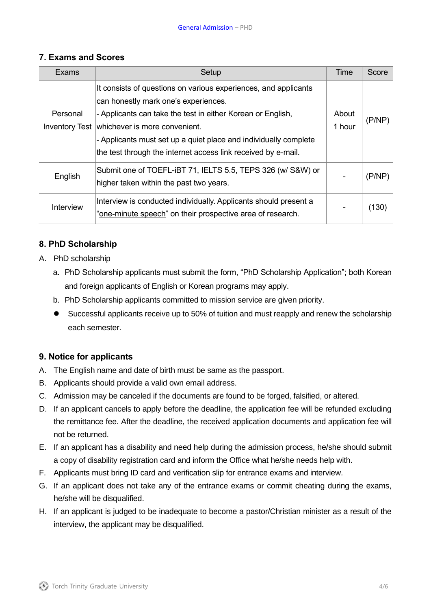#### **7. Exams and Scores**

| Exams     | Setup                                                                                                                                                                                                                                                                                                                                                         | Time            | Score  |
|-----------|---------------------------------------------------------------------------------------------------------------------------------------------------------------------------------------------------------------------------------------------------------------------------------------------------------------------------------------------------------------|-----------------|--------|
| Personal  | It consists of questions on various experiences, and applicants<br>can honestly mark one's experiences.<br>- Applicants can take the test in either Korean or English,<br>Inventory Test   whichever is more convenient.<br>- Applicants must set up a quiet place and individually complete<br>the test through the internet access link received by e-mail. | About<br>1 hour | (P/NP) |
| English   | Submit one of TOEFL-iBT 71, IELTS 5.5, TEPS 326 (w/ S&W) or<br>higher taken within the past two years.                                                                                                                                                                                                                                                        |                 | (P/NP) |
| Interview | Interview is conducted individually. Applicants should present a<br>"one-minute speech" on their prospective area of research.                                                                                                                                                                                                                                |                 | (130)  |

# **8. PhD Scholarship**

- A. PhD scholarship
	- a. PhD Scholarship applicants must submit the form, "PhD Scholarship Application"; both Korean and foreign applicants of English or Korean programs may apply.
	- b. PhD Scholarship applicants committed to mission service are given priority.
	- Successful applicants receive up to 50% of tuition and must reapply and renew the scholarship each semester.

# **9. Notice for applicants**

- A. The English name and date of birth must be same as the passport.
- B. Applicants should provide a valid own email address.
- C. Admission may be canceled if the documents are found to be forged, falsified, or altered.
- D. If an applicant cancels to apply before the deadline, the application fee will be refunded excluding the remittance fee. After the deadline, the received application documents and application fee will not be returned.
- E. If an applicant has a disability and need help during the admission process, he/she should submit a copy of disability registration card and inform the Office what he/she needs help with.
- F. Applicants must bring ID card and verification slip for entrance exams and interview.
- G. If an applicant does not take any of the entrance exams or commit cheating during the exams, he/she will be disqualified.
- H. If an applicant is judged to be inadequate to become a pastor/Christian minister as a result of the interview, the applicant may be disqualified.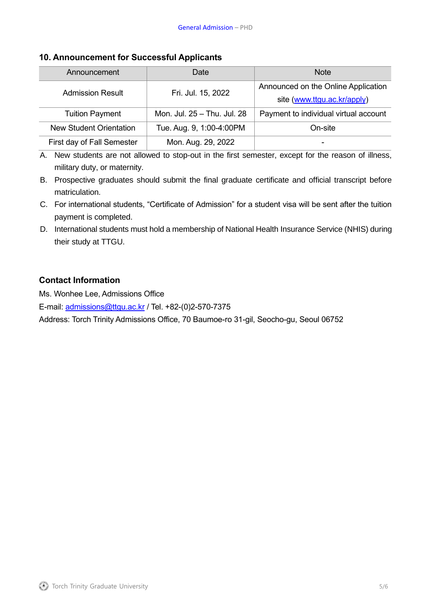#### **10. Announcement for Successful Applicants**

| Announcement                   | Date                        | <b>Note</b>                                                        |
|--------------------------------|-----------------------------|--------------------------------------------------------------------|
| <b>Admission Result</b>        | Fri. Jul. 15, 2022          | Announced on the Online Application<br>site (www.ttgu.ac.kr/apply) |
| <b>Tuition Payment</b>         | Mon. Jul. 25 - Thu. Jul. 28 | Payment to individual virtual account                              |
| <b>New Student Orientation</b> | Tue. Aug. 9, 1:00-4:00PM    | On-site                                                            |
| First day of Fall Semester     | Mon. Aug. 29, 2022          |                                                                    |

A. New students are not allowed to stop-out in the first semester, except for the reason of illness, military duty, or maternity.

- B. Prospective graduates should submit the final graduate certificate and official transcript before matriculation.
- C. For international students, "Certificate of Admission" for a student visa will be sent after the tuition payment is completed.
- D. International students must hold a membership of National Health Insurance Service (NHIS) during their study at TTGU.

# **Contact Information**

Ms. Wonhee Lee, Admissions Office

E-mail: [admissions@ttgu.ac.kr](mailto:admissions@ttgu.ac.kr) / Tel. +82-(0)2-570-7375

Address: Torch Trinity Admissions Office, 70 Baumoe-ro 31-gil, Seocho-gu, Seoul 06752